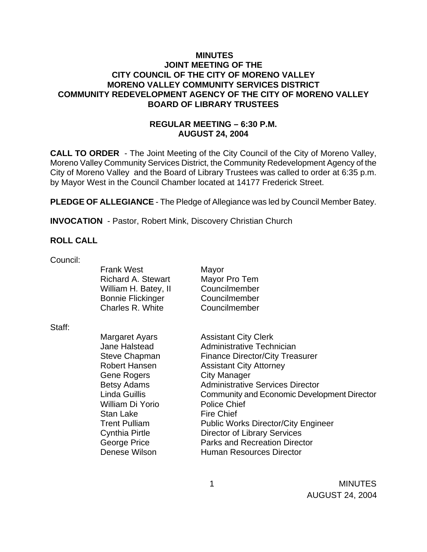## **MINUTES JOINT MEETING OF THE CITY COUNCIL OF THE CITY OF MORENO VALLEY MORENO VALLEY COMMUNITY SERVICES DISTRICT COMMUNITY REDEVELOPMENT AGENCY OF THE CITY OF MORENO VALLEY BOARD OF LIBRARY TRUSTEES**

# **REGULAR MEETING – 6:30 P.M. AUGUST 24, 2004**

**CALL TO ORDER** - The Joint Meeting of the City Council of the City of Moreno Valley, Moreno Valley Community Services District, the Community Redevelopment Agency of the City of Moreno Valley and the Board of Library Trustees was called to order at 6:35 p.m. by Mayor West in the Council Chamber located at 14177 Frederick Street.

**PLEDGE OF ALLEGIANCE** - The Pledge of Allegiance was led by Council Member Batey.

**INVOCATION** - Pastor, Robert Mink, Discovery Christian Church

# **ROLL CALL**

Council:

|        | <b>Frank West</b><br>Richard A. Stewart<br>William H. Batey, II | Mayor<br>Mayor Pro Tem<br>Councilmember     |
|--------|-----------------------------------------------------------------|---------------------------------------------|
|        | <b>Bonnie Flickinger</b>                                        | Councilmember                               |
|        | Charles R. White                                                | Councilmember                               |
| Staff: |                                                                 |                                             |
|        | Margaret Ayars                                                  | <b>Assistant City Clerk</b>                 |
|        | Jane Halstead                                                   | Administrative Technician                   |
|        | <b>Steve Chapman</b>                                            | <b>Finance Director/City Treasurer</b>      |
|        | Robert Hansen                                                   | <b>Assistant City Attorney</b>              |
|        | Gene Rogers                                                     | <b>City Manager</b>                         |
|        | <b>Betsy Adams</b>                                              | <b>Administrative Services Director</b>     |
|        | Linda Guillis                                                   | Community and Economic Development Director |
|        | William Di Yorio                                                | <b>Police Chief</b>                         |
|        | Stan Lake                                                       | <b>Fire Chief</b>                           |
|        | <b>Trent Pulliam</b>                                            | <b>Public Works Director/City Engineer</b>  |
|        | <b>Cynthia Pirtle</b>                                           | <b>Director of Library Services</b>         |
|        | George Price                                                    | <b>Parks and Recreation Director</b>        |
|        | Denese Wilson                                                   | Human Resources Director                    |
|        |                                                                 |                                             |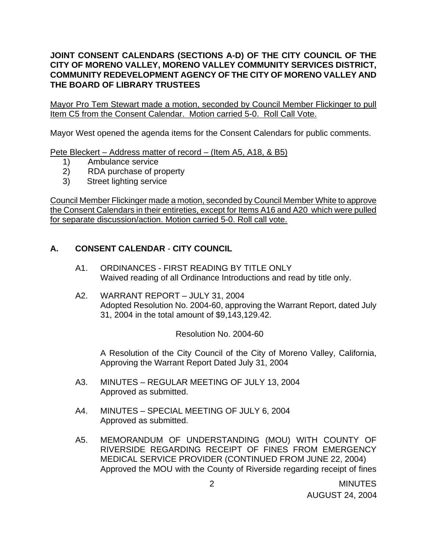# **JOINT CONSENT CALENDARS (SECTIONS A-D) OF THE CITY COUNCIL OF THE CITY OF MORENO VALLEY, MORENO VALLEY COMMUNITY SERVICES DISTRICT, COMMUNITY REDEVELOPMENT AGENCY OF THE CITY OF MORENO VALLEY AND THE BOARD OF LIBRARY TRUSTEES**

Mayor Pro Tem Stewart made a motion, seconded by Council Member Flickinger to pull Item C5 from the Consent Calendar. Motion carried 5-0. Roll Call Vote.

Mayor West opened the agenda items for the Consent Calendars for public comments.

Pete Bleckert – Address matter of record – (Item A5, A18, & B5)

- 1) Ambulance service
- 2) RDA purchase of property
- 3) Street lighting service

Council Member Flickinger made a motion, seconded by Council Member White to approve the Consent Calendars in their entireties, except for Items A16 and A20 which were pulled for separate discussion/action. Motion carried 5-0. Roll call vote.

# **A. CONSENT CALENDAR** - **CITY COUNCIL**

- A1. ORDINANCES FIRST READING BY TITLE ONLY Waived reading of all Ordinance Introductions and read by title only.
- A2. WARRANT REPORT JULY 31, 2004 Adopted Resolution No. 2004-60, approving the Warrant Report, dated July 31, 2004 in the total amount of \$9,143,129.42.

Resolution No. 2004-60

 A Resolution of the City Council of the City of Moreno Valley, California, Approving the Warrant Report Dated July 31, 2004

- A3. MINUTES REGULAR MEETING OF JULY 13, 2004 Approved as submitted.
- A4. MINUTES SPECIAL MEETING OF JULY 6, 2004 Approved as submitted.
- A5. MEMORANDUM OF UNDERSTANDING (MOU) WITH COUNTY OF RIVERSIDE REGARDING RECEIPT OF FINES FROM EMERGENCY MEDICAL SERVICE PROVIDER (CONTINUED FROM JUNE 22, 2004) Approved the MOU with the County of Riverside regarding receipt of fines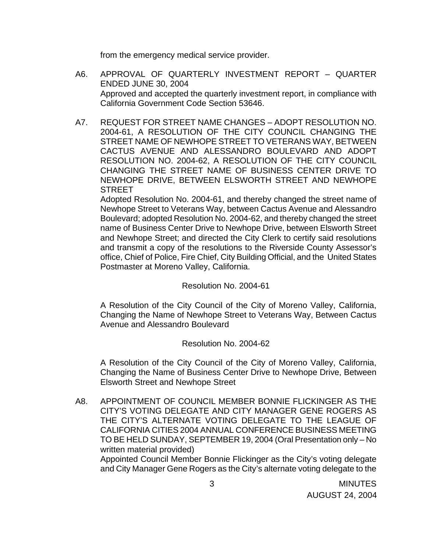from the emergency medical service provider.

- A6. APPROVAL OF QUARTERLY INVESTMENT REPORT QUARTER ENDED JUNE 30, 2004 Approved and accepted the quarterly investment report, in compliance with California Government Code Section 53646.
- A7. REQUEST FOR STREET NAME CHANGES ADOPT RESOLUTION NO. 2004-61, A RESOLUTION OF THE CITY COUNCIL CHANGING THE STREET NAME OF NEWHOPE STREET TO VETERANS WAY, BETWEEN CACTUS AVENUE AND ALESSANDRO BOULEVARD AND ADOPT RESOLUTION NO. 2004-62, A RESOLUTION OF THE CITY COUNCIL CHANGING THE STREET NAME OF BUSINESS CENTER DRIVE TO NEWHOPE DRIVE, BETWEEN ELSWORTH STREET AND NEWHOPE **STREET**

 Adopted Resolution No. 2004-61, and thereby changed the street name of Newhope Street to Veterans Way, between Cactus Avenue and Alessandro Boulevard; adopted Resolution No. 2004-62, and thereby changed the street name of Business Center Drive to Newhope Drive, between Elsworth Street and Newhope Street; and directed the City Clerk to certify said resolutions and transmit a copy of the resolutions to the Riverside County Assessor's office, Chief of Police, Fire Chief, City Building Official, and the United States Postmaster at Moreno Valley, California.

Resolution No. 2004-61

A Resolution of the City Council of the City of Moreno Valley, California, Changing the Name of Newhope Street to Veterans Way, Between Cactus Avenue and Alessandro Boulevard

### Resolution No. 2004-62

 A Resolution of the City Council of the City of Moreno Valley, California, Changing the Name of Business Center Drive to Newhope Drive, Between Elsworth Street and Newhope Street

 A8. APPOINTMENT OF COUNCIL MEMBER BONNIE FLICKINGER AS THE CITY'S VOTING DELEGATE AND CITY MANAGER GENE ROGERS AS THE CITY'S ALTERNATE VOTING DELEGATE TO THE LEAGUE OF CALIFORNIA CITIES 2004 ANNUAL CONFERENCE BUSINESS MEETING TO BE HELD SUNDAY, SEPTEMBER 19, 2004 (Oral Presentation only – No written material provided)

 Appointed Council Member Bonnie Flickinger as the City's voting delegate and City Manager Gene Rogers as the City's alternate voting delegate to the

 3 MINUTES AUGUST 24, 2004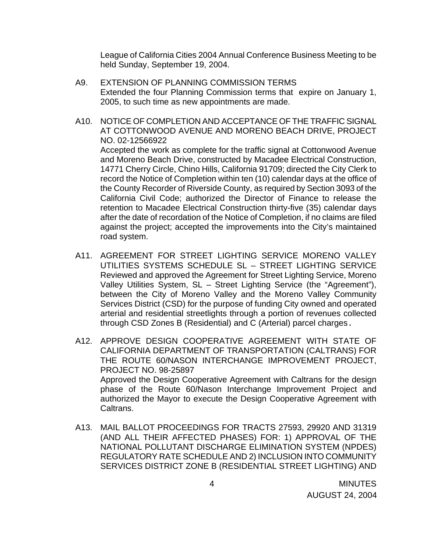League of California Cities 2004 Annual Conference Business Meeting to be held Sunday, September 19, 2004.

- A9. EXTENSION OF PLANNING COMMISSION TERMS Extended the four Planning Commission terms that expire on January 1, 2005, to such time as new appointments are made.
- A10. NOTICE OF COMPLETION AND ACCEPTANCE OF THE TRAFFIC SIGNAL AT COTTONWOOD AVENUE AND MORENO BEACH DRIVE, PROJECT NO. 02-12566922 Accepted the work as complete for the traffic signal at Cottonwood Avenue and Moreno Beach Drive, constructed by Macadee Electrical Construction, 14771 Cherry Circle, Chino Hills, California 91709; directed the City Clerk to record the Notice of Completion within ten (10) calendar days at the office of the County Recorder of Riverside County, as required by Section 3093 of the California Civil Code; authorized the Director of Finance to release the retention to Macadee Electrical Construction thirty-five (35) calendar days after the date of recordation of the Notice of Completion, if no claims are filed against the project; accepted the improvements into the City's maintained road system.
- A11. AGREEMENT FOR STREET LIGHTING SERVICE MORENO VALLEY UTILITIES SYSTEMS SCHEDULE SL – STREET LIGHTING SERVICE Reviewed and approved the Agreement for Street Lighting Service, Moreno Valley Utilities System, SL – Street Lighting Service (the "Agreement"), between the City of Moreno Valley and the Moreno Valley Community Services District (CSD) for the purpose of funding City owned and operated arterial and residential streetlights through a portion of revenues collected through CSD Zones B (Residential) and C (Arterial) parcel charges.
- A12. APPROVE DESIGN COOPERATIVE AGREEMENT WITH STATE OF CALIFORNIA DEPARTMENT OF TRANSPORTATION (CALTRANS) FOR THE ROUTE 60/NASON INTERCHANGE IMPROVEMENT PROJECT, PROJECT NO. 98-25897 Approved the Design Cooperative Agreement with Caltrans for the design phase of the Route 60/Nason Interchange Improvement Project and authorized the Mayor to execute the Design Cooperative Agreement with Caltrans.
- A13. MAIL BALLOT PROCEEDINGS FOR TRACTS 27593, 29920 AND 31319 (AND ALL THEIR AFFECTED PHASES) FOR: 1) APPROVAL OF THE NATIONAL POLLUTANT DISCHARGE ELIMINATION SYSTEM (NPDES) REGULATORY RATE SCHEDULE AND 2) INCLUSION INTO COMMUNITY SERVICES DISTRICT ZONE B (RESIDENTIAL STREET LIGHTING) AND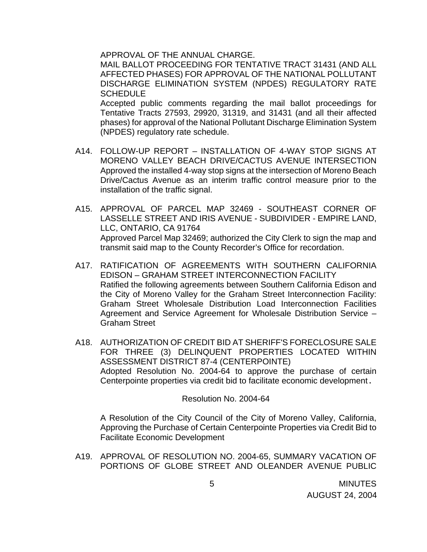APPROVAL OF THE ANNUAL CHARGE.

MAIL BALLOT PROCEEDING FOR TENTATIVE TRACT 31431 (AND ALL AFFECTED PHASES) FOR APPROVAL OF THE NATIONAL POLLUTANT DISCHARGE ELIMINATION SYSTEM (NPDES) REGULATORY RATE **SCHEDULE** 

 Accepted public comments regarding the mail ballot proceedings for Tentative Tracts 27593, 29920, 31319, and 31431 (and all their affected phases) for approval of the National Pollutant Discharge Elimination System (NPDES) regulatory rate schedule.

- A14. FOLLOW-UP REPORT INSTALLATION OF 4-WAY STOP SIGNS AT MORENO VALLEY BEACH DRIVE/CACTUS AVENUE INTERSECTION Approved the installed 4-way stop signs at the intersection of Moreno Beach Drive/Cactus Avenue as an interim traffic control measure prior to the installation of the traffic signal.
- A15. APPROVAL OF PARCEL MAP 32469 SOUTHEAST CORNER OF LASSELLE STREET AND IRIS AVENUE - SUBDIVIDER - EMPIRE LAND, LLC, ONTARIO, CA 91764 Approved Parcel Map 32469; authorized the City Clerk to sign the map and transmit said map to the County Recorder's Office for recordation.
- A17. RATIFICATION OF AGREEMENTS WITH SOUTHERN CALIFORNIA EDISON – GRAHAM STREET INTERCONNECTION FACILITY Ratified the following agreements between Southern California Edison and the City of Moreno Valley for the Graham Street Interconnection Facility: Graham Street Wholesale Distribution Load Interconnection Facilities Agreement and Service Agreement for Wholesale Distribution Service – Graham Street
- A18. AUTHORIZATION OF CREDIT BID AT SHERIFF'S FORECLOSURE SALE FOR THREE (3) DELINQUENT PROPERTIES LOCATED WITHIN ASSESSMENT DISTRICT 87-4 (CENTERPOINTE) Adopted Resolution No. 2004-64 to approve the purchase of certain Centerpointe properties via credit bid to facilitate economic development.

#### Resolution No. 2004-64

A Resolution of the City Council of the City of Moreno Valley, California, Approving the Purchase of Certain Centerpointe Properties via Credit Bid to Facilitate Economic Development

 A19. APPROVAL OF RESOLUTION NO. 2004-65, SUMMARY VACATION OF PORTIONS OF GLOBE STREET AND OLEANDER AVENUE PUBLIC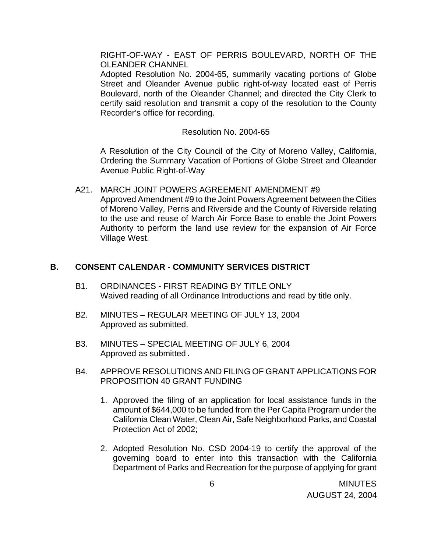RIGHT-OF-WAY - EAST OF PERRIS BOULEVARD, NORTH OF THE OLEANDER CHANNEL

 Adopted Resolution No. 2004-65, summarily vacating portions of Globe Street and Oleander Avenue public right-of-way located east of Perris Boulevard, north of the Oleander Channel; and directed the City Clerk to certify said resolution and transmit a copy of the resolution to the County Recorder's office for recording.

#### Resolution No. 2004-65

 A Resolution of the City Council of the City of Moreno Valley, California, Ordering the Summary Vacation of Portions of Globe Street and Oleander Avenue Public Right-of-Way

A21. MARCH JOINT POWERS AGREEMENT AMENDMENT #9 Approved Amendment #9 to the Joint Powers Agreement between the Cities of Moreno Valley, Perris and Riverside and the County of Riverside relating to the use and reuse of March Air Force Base to enable the Joint Powers Authority to perform the land use review for the expansion of Air Force Village West.

### **B. CONSENT CALENDAR** - **COMMUNITY SERVICES DISTRICT**

- B1. ORDINANCES FIRST READING BY TITLE ONLY Waived reading of all Ordinance Introductions and read by title only.
- B2. MINUTES REGULAR MEETING OF JULY 13, 2004 Approved as submitted.
- B3. MINUTES SPECIAL MEETING OF JULY 6, 2004 Approved as submitted.
- B4. APPROVE RESOLUTIONS AND FILING OF GRANT APPLICATIONS FOR PROPOSITION 40 GRANT FUNDING
	- 1. Approved the filing of an application for local assistance funds in the amount of \$644,000 to be funded from the Per Capita Program under the California Clean Water, Clean Air, Safe Neighborhood Parks, and Coastal Protection Act of 2002;
	- 2. Adopted Resolution No. CSD 2004-19 to certify the approval of the governing board to enter into this transaction with the California Department of Parks and Recreation for the purpose of applying for grant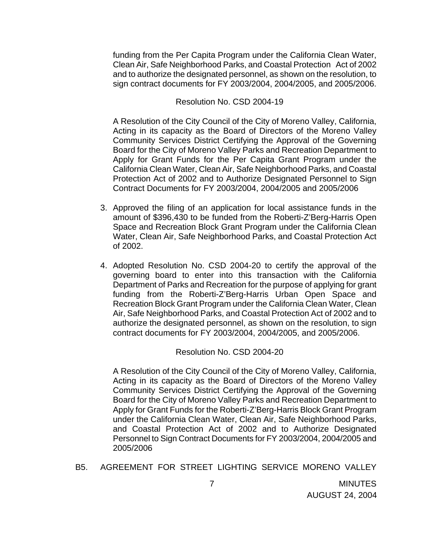funding from the Per Capita Program under the California Clean Water, Clean Air, Safe Neighborhood Parks, and Coastal Protection Act of 2002 and to authorize the designated personnel, as shown on the resolution, to sign contract documents for FY 2003/2004, 2004/2005, and 2005/2006.

#### Resolution No. CSD 2004-19

A Resolution of the City Council of the City of Moreno Valley, California, Acting in its capacity as the Board of Directors of the Moreno Valley Community Services District Certifying the Approval of the Governing Board for the City of Moreno Valley Parks and Recreation Department to Apply for Grant Funds for the Per Capita Grant Program under the California Clean Water, Clean Air, Safe Neighborhood Parks, and Coastal Protection Act of 2002 and to Authorize Designated Personnel to Sign Contract Documents for FY 2003/2004, 2004/2005 and 2005/2006

- 3. Approved the filing of an application for local assistance funds in the amount of \$396,430 to be funded from the Roberti-Z'Berg-Harris Open Space and Recreation Block Grant Program under the California Clean Water, Clean Air, Safe Neighborhood Parks, and Coastal Protection Act of 2002.
- 4. Adopted Resolution No. CSD 2004-20 to certify the approval of the governing board to enter into this transaction with the California Department of Parks and Recreation for the purpose of applying for grant funding from the Roberti-Z'Berg-Harris Urban Open Space and Recreation Block Grant Program under the California Clean Water, Clean Air, Safe Neighborhood Parks, and Coastal Protection Act of 2002 and to authorize the designated personnel, as shown on the resolution, to sign contract documents for FY 2003/2004, 2004/2005, and 2005/2006.

### Resolution No. CSD 2004-20

A Resolution of the City Council of the City of Moreno Valley, California, Acting in its capacity as the Board of Directors of the Moreno Valley Community Services District Certifying the Approval of the Governing Board for the City of Moreno Valley Parks and Recreation Department to Apply for Grant Funds for the Roberti-Z'Berg-Harris Block Grant Program under the California Clean Water, Clean Air, Safe Neighborhood Parks, and Coastal Protection Act of 2002 and to Authorize Designated Personnel to Sign Contract Documents for FY 2003/2004, 2004/2005 and 2005/2006

B5. AGREEMENT FOR STREET LIGHTING SERVICE MORENO VALLEY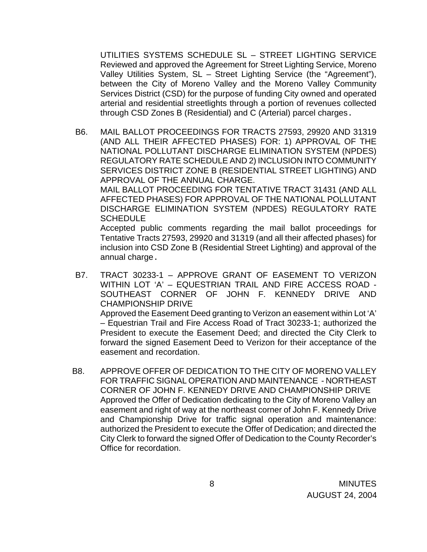UTILITIES SYSTEMS SCHEDULE SL – STREET LIGHTING SERVICE Reviewed and approved the Agreement for Street Lighting Service, Moreno Valley Utilities System, SL – Street Lighting Service (the "Agreement"), between the City of Moreno Valley and the Moreno Valley Community Services District (CSD) for the purpose of funding City owned and operated arterial and residential streetlights through a portion of revenues collected through CSD Zones B (Residential) and C (Arterial) parcel charges.

B6. MAIL BALLOT PROCEEDINGS FOR TRACTS 27593, 29920 AND 31319 (AND ALL THEIR AFFECTED PHASES) FOR: 1) APPROVAL OF THE NATIONAL POLLUTANT DISCHARGE ELIMINATION SYSTEM (NPDES) REGULATORY RATE SCHEDULE AND 2) INCLUSION INTO COMMUNITY SERVICES DISTRICT ZONE B (RESIDENTIAL STREET LIGHTING) AND APPROVAL OF THE ANNUAL CHARGE. MAIL BALLOT PROCEEDING FOR TENTATIVE TRACT 31431 (AND ALL AFFECTED PHASES) FOR APPROVAL OF THE NATIONAL POLLUTANT DISCHARGE ELIMINATION SYSTEM (NPDES) REGULATORY RATE **SCHEDULE** Accepted public comments regarding the mail ballot proceedings for

Tentative Tracts 27593, 29920 and 31319 (and all their affected phases) for inclusion into CSD Zone B (Residential Street Lighting) and approval of the annual charge.

B7. TRACT 30233-1 – APPROVE GRANT OF EASEMENT TO VERIZON WITHIN LOT 'A' – EQUESTRIAN TRAIL AND FIRE ACCESS ROAD - SOUTHEAST CORNER OF JOHN F. KENNEDY DRIVE AND CHAMPIONSHIP DRIVE Approved the Easement Deed granting to Verizon an easement within Lot 'A' – Equestrian Trail and Fire Access Road of Tract 30233-1; authorized the President to execute the Easement Deed; and directed the City Clerk to forward the signed Easement Deed to Verizon for their acceptance of the

easement and recordation.

B8. APPROVE OFFER OF DEDICATION TO THE CITY OF MORENO VALLEY FOR TRAFFIC SIGNAL OPERATION AND MAINTENANCE - NORTHEAST CORNER OF JOHN F. KENNEDY DRIVE AND CHAMPIONSHIP DRIVE Approved the Offer of Dedication dedicating to the City of Moreno Valley an easement and right of way at the northeast corner of John F. Kennedy Drive and Championship Drive for traffic signal operation and maintenance: authorized the President to execute the Offer of Dedication; and directed the City Clerk to forward the signed Offer of Dedication to the County Recorder's Office for recordation.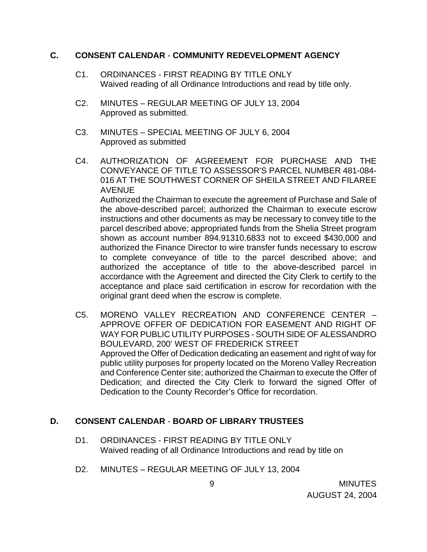#### **C. CONSENT CALENDAR** - **COMMUNITY REDEVELOPMENT AGENCY**

- C1. ORDINANCES FIRST READING BY TITLE ONLY Waived reading of all Ordinance Introductions and read by title only.
- C2. MINUTES REGULAR MEETING OF JULY 13, 2004 Approved as submitted.
- C3. MINUTES SPECIAL MEETING OF JULY 6, 2004 Approved as submitted
- C4. AUTHORIZATION OF AGREEMENT FOR PURCHASE AND THE CONVEYANCE OF TITLE TO ASSESSOR'S PARCEL NUMBER 481-084- 016 AT THE SOUTHWEST CORNER OF SHEILA STREET AND FILAREE AVENUE Authorized the Chairman to execute the agreement of Purchase and Sale of the above-described parcel; authorized the Chairman to execute escrow instructions and other documents as may be necessary to convey title to the parcel described above; appropriated funds from the Shelia Street program shown as account number 894.91310.6833 not to exceed \$430,000 and

authorized the Finance Director to wire transfer funds necessary to escrow to complete conveyance of title to the parcel described above; and authorized the acceptance of title to the above-described parcel in accordance with the Agreement and directed the City Clerk to certify to the acceptance and place said certification in escrow for recordation with the original grant deed when the escrow is complete.

C5. MORENO VALLEY RECREATION AND CONFERENCE CENTER – APPROVE OFFER OF DEDICATION FOR EASEMENT AND RIGHT OF WAY FOR PUBLIC UTILITY PURPOSES - SOUTH SIDE OF ALESSANDRO BOULEVARD, 200' WEST OF FREDERICK STREET Approved the Offer of Dedication dedicating an easement and right of way for public utility purposes for property located on the Moreno Valley Recreation and Conference Center site; authorized the Chairman to execute the Offer of Dedication; and directed the City Clerk to forward the signed Offer of Dedication to the County Recorder's Office for recordation.

# **D. CONSENT CALENDAR** - **BOARD OF LIBRARY TRUSTEES**

- D1. ORDINANCES FIRST READING BY TITLE ONLY Waived reading of all Ordinance Introductions and read by title on
- D2. MINUTES REGULAR MEETING OF JULY 13, 2004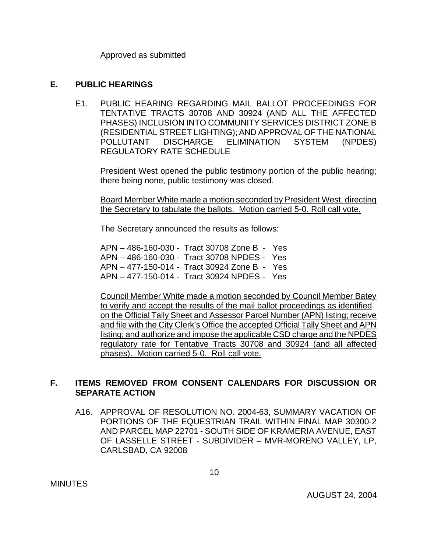Approved as submitted

#### **E. PUBLIC HEARINGS**

E1. PUBLIC HEARING REGARDING MAIL BALLOT PROCEEDINGS FOR TENTATIVE TRACTS 30708 AND 30924 (AND ALL THE AFFECTED PHASES) INCLUSION INTO COMMUNITY SERVICES DISTRICT ZONE B (RESIDENTIAL STREET LIGHTING); AND APPROVAL OF THE NATIONAL POLLUTANT DISCHARGE ELIMINATION SYSTEM (NPDES) REGULATORY RATE SCHEDULE

 President West opened the public testimony portion of the public hearing; there being none, public testimony was closed.

 Board Member White made a motion seconded by President West, directing the Secretary to tabulate the ballots. Motion carried 5-0. Roll call vote.

The Secretary announced the results as follows:

APN – 486-160-030 - Tract 30708 Zone B - Yes APN – 486-160-030 - Tract 30708 NPDES - Yes APN – 477-150-014 - Tract 30924 Zone B - Yes APN – 477-150-014 - Tract 30924 NPDES - Yes

Council Member White made a motion seconded by Council Member Batey to verify and accept the results of the mail ballot proceedings as identified on the Official Tally Sheet and Assessor Parcel Number (APN) listing; receive and file with the City Clerk's Office the accepted Official Tally Sheet and APN listing; and authorize and impose the applicable CSD charge and the NPDES regulatory rate for Tentative Tracts 30708 and 30924 (and all affected phases). Motion carried 5-0. Roll call vote.

# **F. ITEMS REMOVED FROM CONSENT CALENDARS FOR DISCUSSION OR SEPARATE ACTION**

 A16. APPROVAL OF RESOLUTION NO. 2004-63, SUMMARY VACATION OF PORTIONS OF THE EQUESTRIAN TRAIL WITHIN FINAL MAP 30300-2 AND PARCEL MAP 22701 - SOUTH SIDE OF KRAMERIA AVENUE, EAST OF LASSELLE STREET - SUBDIVIDER – MVR-MORENO VALLEY, LP, CARLSBAD, CA 92008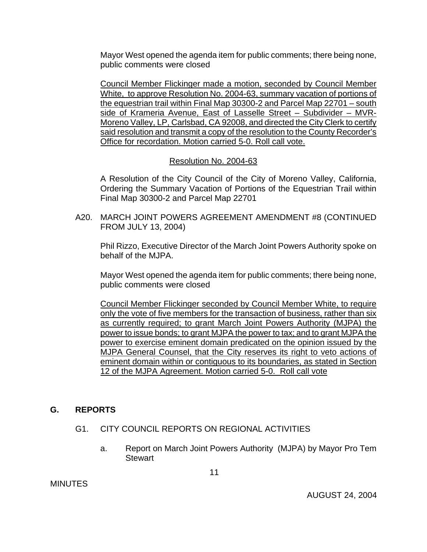Mayor West opened the agenda item for public comments; there being none, public comments were closed

Council Member Flickinger made a motion, seconded by Council Member White, to approve Resolution No. 2004-63, summary vacation of portions of the equestrian trail within Final Map 30300-2 and Parcel Map 22701 – south side of Krameria Avenue, East of Lasselle Street – Subdivider – MVR-Moreno Valley, LP, Carlsbad, CA 92008, and directed the City Clerk to certify said resolution and transmit a copy of the resolution to the County Recorder's Office for recordation. Motion carried 5-0. Roll call vote.

Resolution No. 2004-63

A Resolution of the City Council of the City of Moreno Valley, California, Ordering the Summary Vacation of Portions of the Equestrian Trail within Final Map 30300-2 and Parcel Map 22701

 A20. MARCH JOINT POWERS AGREEMENT AMENDMENT #8 (CONTINUED FROM JULY 13, 2004)

 Phil Rizzo, Executive Director of the March Joint Powers Authority spoke on behalf of the MJPA.

 Mayor West opened the agenda item for public comments; there being none, public comments were closed

 Council Member Flickinger seconded by Council Member White, to require only the vote of five members for the transaction of business, rather than six as currently required; to grant March Joint Powers Authority (MJPA) the power to issue bonds; to grant MJPA the power to tax; and to grant MJPA the power to exercise eminent domain predicated on the opinion issued by the MJPA General Counsel, that the City reserves its right to veto actions of eminent domain within or contiguous to its boundaries, as stated in Section 12 of the MJPA Agreement. Motion carried 5-0. Roll call vote

# **G. REPORTS**

- G1. CITY COUNCIL REPORTS ON REGIONAL ACTIVITIES
	- a. Report on March Joint Powers Authority (MJPA) by Mayor Pro Tem **Stewart**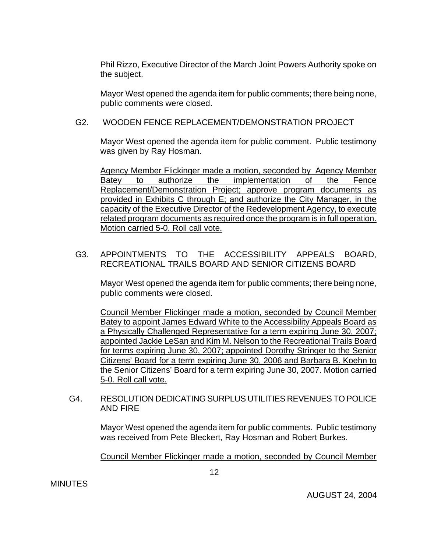Phil Rizzo, Executive Director of the March Joint Powers Authority spoke on the subject.

Mayor West opened the agenda item for public comments; there being none, public comments were closed.

## G2. WOODEN FENCE REPLACEMENT/DEMONSTRATION PROJECT

Mayor West opened the agenda item for public comment. Public testimony was given by Ray Hosman.

Agency Member Flickinger made a motion, seconded by\_Agency Member Batey to authorize the implementation of the Fence Replacement/Demonstration Project; approve program documents as provided in Exhibits C through E; and authorize the City Manager, in the capacity of the Executive Director of the Redevelopment Agency, to execute related program documents as required once the program is in full operation. Motion carried 5-0. Roll call vote.

G3. APPOINTMENTS TO THE ACCESSIBILITY APPEALS BOARD, RECREATIONAL TRAILS BOARD AND SENIOR CITIZENS BOARD

Mayor West opened the agenda item for public comments; there being none, public comments were closed.

Council Member Flickinger made a motion, seconded by Council Member Batey to appoint James Edward White to the Accessibility Appeals Board as a Physically Challenged Representative for a term expiring June 30, 2007; appointed Jackie LeSan and Kim M. Nelson to the Recreational Trails Board for terms expiring June 30, 2007; appointed Dorothy Stringer to the Senior Citizens' Board for a term expiring June 30, 2006 and Barbara B. Koehn to the Senior Citizens' Board for a term expiring June 30, 2007. Motion carried 5-0. Roll call vote.

G4. RESOLUTION DEDICATING SURPLUS UTILITIES REVENUES TO POLICE AND FIRE

Mayor West opened the agenda item for public comments. Public testimony was received from Pete Bleckert, Ray Hosman and Robert Burkes.

Council Member Flickinger made a motion, seconded by Council Member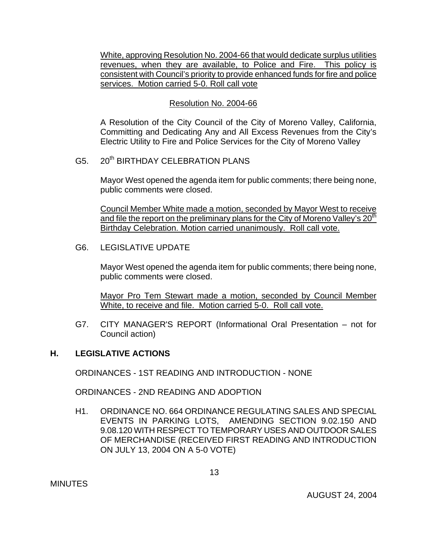White, approving Resolution No. 2004-66 that would dedicate surplus utilities revenues, when they are available, to Police and Fire. This policy is consistent with Council's priority to provide enhanced funds for fire and police services. Motion carried 5-0. Roll call vote

## Resolution No. 2004-66

 A Resolution of the City Council of the City of Moreno Valley, California, Committing and Dedicating Any and All Excess Revenues from the City's Electric Utility to Fire and Police Services for the City of Moreno Valley

G5. 20<sup>th</sup> BIRTHDAY CELEBRATION PLANS

 Mayor West opened the agenda item for public comments; there being none, public comments were closed.

 Council Member White made a motion, seconded by Mayor West to receive and file the report on the preliminary plans for the City of Moreno Valley's 20<sup>th</sup> Birthday Celebration. Motion carried unanimously. Roll call vote.

G6. LEGISLATIVE UPDATE

Mayor West opened the agenda item for public comments; there being none, public comments were closed.

Mayor Pro Tem Stewart made a motion, seconded by Council Member White, to receive and file. Motion carried 5-0. Roll call vote.

 G7. CITY MANAGER'S REPORT (Informational Oral Presentation – not for Council action)

## **H. LEGISLATIVE ACTIONS**

ORDINANCES - 1ST READING AND INTRODUCTION - NONE

ORDINANCES - 2ND READING AND ADOPTION

H1. ORDINANCE NO. 664 ORDINANCE REGULATING SALES AND SPECIAL EVENTS IN PARKING LOTS, AMENDING SECTION 9.02.150 AND 9.08.120 WITH RESPECT TO TEMPORARY USES AND OUTDOOR SALES OF MERCHANDISE (RECEIVED FIRST READING AND INTRODUCTION ON JULY 13, 2004 ON A 5-0 VOTE)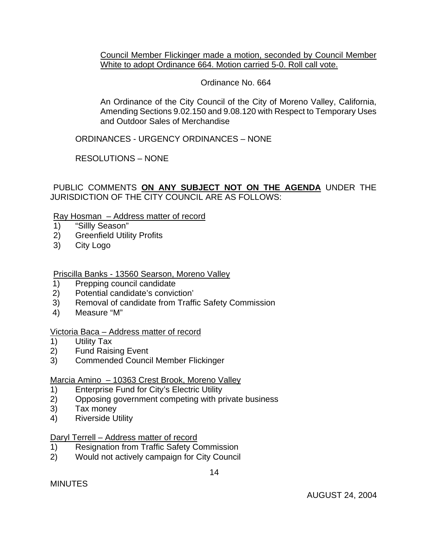Council Member Flickinger made a motion, seconded by Council Member White to adopt Ordinance 664. Motion carried 5-0. Roll call vote.

## Ordinance No. 664

 An Ordinance of the City Council of the City of Moreno Valley, California, Amending Sections 9.02.150 and 9.08.120 with Respect to Temporary Uses and Outdoor Sales of Merchandise

ORDINANCES - URGENCY ORDINANCES – NONE

RESOLUTIONS – NONE

PUBLIC COMMENTS **ON ANY SUBJECT NOT ON THE AGENDA** UNDER THE JURISDICTION OF THE CITY COUNCIL ARE AS FOLLOWS:

### Ray Hosman – Address matter of record

- 1) "Sillly Season"
- 2) Greenfield Utility Profits
- 3) City Logo

## Priscilla Banks - 13560 Searson, Moreno Valley

- 1) Prepping council candidate
- 2) Potential candidate's conviction'
- 3) Removal of candidate from Traffic Safety Commission
- 4) Measure "M"

### Victoria Baca – Address matter of record

- 1) Utility Tax
- 2) Fund Raising Event
- 3) Commended Council Member Flickinger

### Marcia Amino – 10363 Crest Brook, Moreno Valley

- 1) Enterprise Fund for City's Electric Utility
- 2) Opposing government competing with private business
- 3) Tax money
- 4) Riverside Utility

### Daryl Terrell – Address matter of record

- 1) Resignation from Traffic Safety Commission
- 2) Would not actively campaign for City Council

MINUTES

AUGUST 24, 2004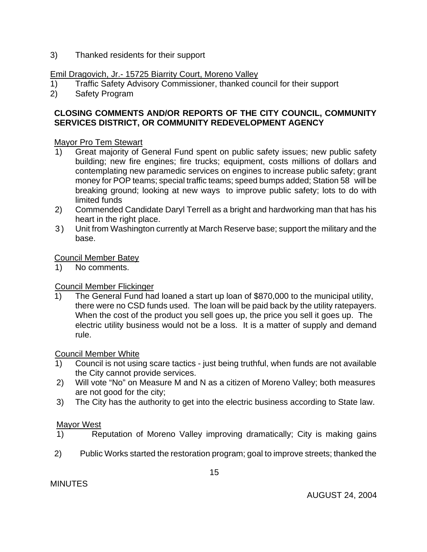3) Thanked residents for their support

# Emil Dragovich, Jr.- 15725 Biarrity Court, Moreno Valley

- 1) Traffic Safety Advisory Commissioner, thanked council for their support
- 2) Safety Program

# **CLOSING COMMENTS AND/OR REPORTS OF THE CITY COUNCIL, COMMUNITY SERVICES DISTRICT, OR COMMUNITY REDEVELOPMENT AGENCY**

# Mayor Pro Tem Stewart

- 1) Great majority of General Fund spent on public safety issues; new public safety building; new fire engines; fire trucks; equipment, costs millions of dollars and contemplating new paramedic services on engines to increase public safety; grant money for POP teams; special traffic teams; speed bumps added; Station 58 will be breaking ground; looking at new ways to improve public safety; lots to do with limited funds
- 2) Commended Candidate Daryl Terrell as a bright and hardworking man that has his heart in the right place.
- 3) Unit from Washington currently at March Reserve base; support the military and the base.

### Council Member Batey

1) No comments.

# Council Member Flickinger

1) The General Fund had loaned a start up loan of \$870,000 to the municipal utility, there were no CSD funds used. The loan will be paid back by the utility ratepayers. When the cost of the product you sell goes up, the price you sell it goes up. The electric utility business would not be a loss. It is a matter of supply and demand rule.

### Council Member White

- 1) Council is not using scare tactics just being truthful, when funds are not available the City cannot provide services.
- 2) Will vote "No" on Measure M and N as a citizen of Moreno Valley; both measures are not good for the city;
- 3) The City has the authority to get into the electric business according to State law.

### Mayor West

- 1) Reputation of Moreno Valley improving dramatically; City is making gains
- 2) Public Works started the restoration program; goal to improve streets; thanked the